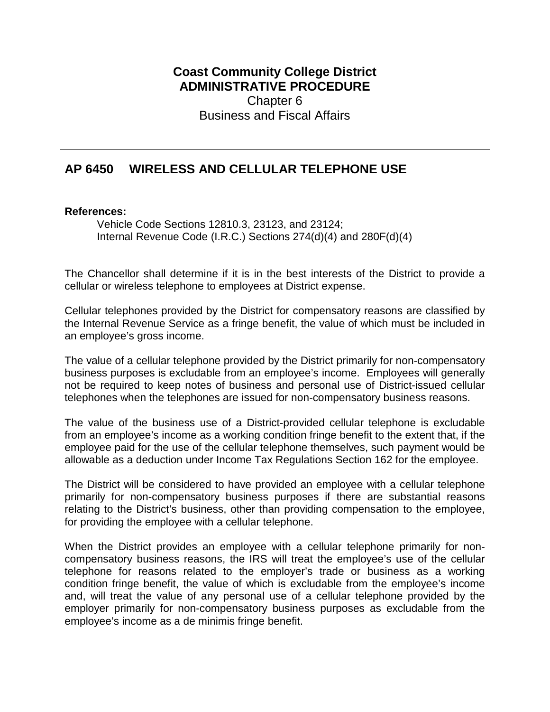**Coast Community College District ADMINISTRATIVE PROCEDURE** Chapter 6 Business and Fiscal Affairs

## **AP 6450 WIRELESS AND CELLULAR TELEPHONE USE**

## **References:**

Vehicle Code Sections 12810.3, 23123, and 23124; Internal Revenue Code (I.R.C.) Sections 274(d)(4) and 280F(d)(4)

The Chancellor shall determine if it is in the best interests of the District to provide a cellular or wireless telephone to employees at District expense.

Cellular telephones provided by the District for compensatory reasons are classified by the Internal Revenue Service as a fringe benefit, the value of which must be included in an employee's gross income.

The value of a cellular telephone provided by the District primarily for non-compensatory business purposes is excludable from an employee's income. Employees will generally not be required to keep notes of business and personal use of District-issued cellular telephones when the telephones are issued for non-compensatory business reasons.

The value of the business use of a District-provided cellular telephone is excludable from an employee's income as a working condition fringe benefit to the extent that, if the employee paid for the use of the cellular telephone themselves, such payment would be allowable as a deduction under Income Tax Regulations Section 162 for the employee.

The District will be considered to have provided an employee with a cellular telephone primarily for non-compensatory business purposes if there are substantial reasons relating to the District's business, other than providing compensation to the employee, for providing the employee with a cellular telephone.

When the District provides an employee with a cellular telephone primarily for noncompensatory business reasons, the IRS will treat the employee's use of the cellular telephone for reasons related to the employer's trade or business as a working condition fringe benefit, the value of which is excludable from the employee's income and, will treat the value of any personal use of a cellular telephone provided by the employer primarily for non-compensatory business purposes as excludable from the employee's income as a de minimis fringe benefit.